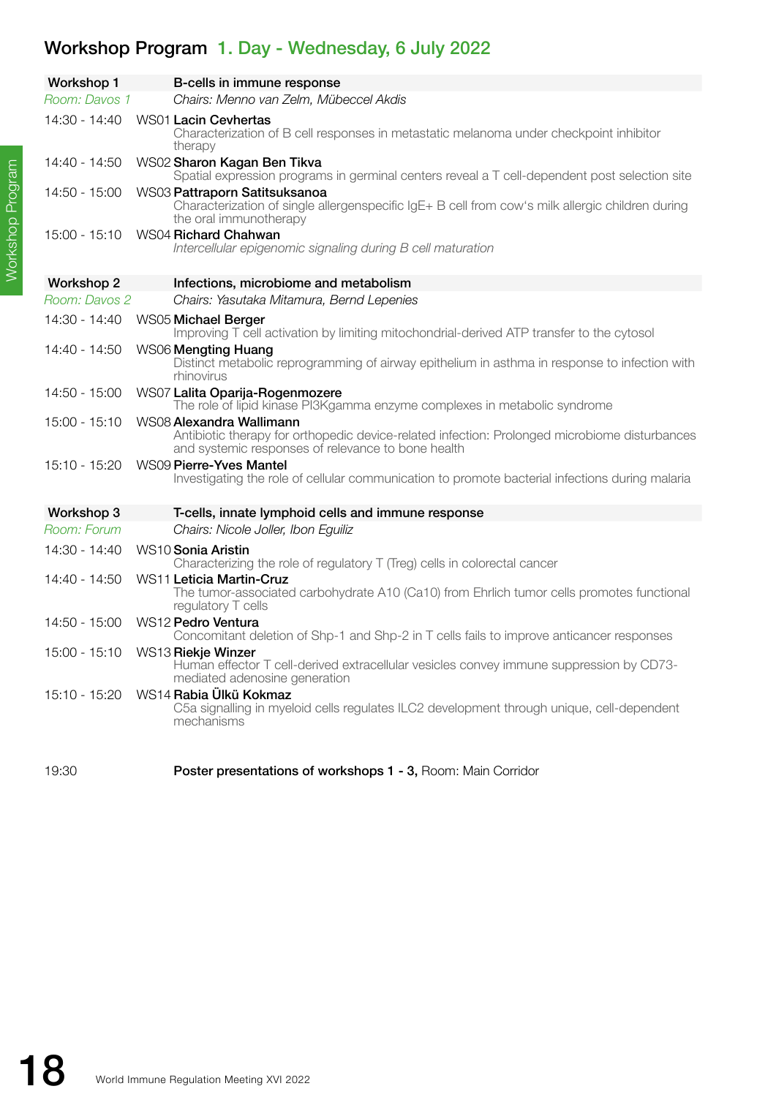## Workshop Program 1. Day - Wednesday, 6 July 2022

| <b>Workshop 1</b> | B-cells in immune response                                                                                                                                                      |
|-------------------|---------------------------------------------------------------------------------------------------------------------------------------------------------------------------------|
| Room: Davos 1     | Chairs: Menno van Zelm, Mübeccel Akdis                                                                                                                                          |
| 14:30 - 14:40     | WS01 Lacin Cevhertas<br>Characterization of B cell responses in metastatic melanoma under checkpoint inhibitor<br>therapy                                                       |
| 14:40 - 14:50     | WS02 Sharon Kagan Ben Tikva<br>Spatial expression programs in germinal centers reveal a T cell-dependent post selection site                                                    |
| 14:50 - 15:00     | WS03 Pattraporn Satitsuksanoa<br>Characterization of single allergenspecific IgE+ B cell from cow's milk allergic children during<br>the oral immunotherapy                     |
| $15:00 - 15:10$   | WS04 Richard Chahwan<br>Intercellular epigenomic signaling during B cell maturation                                                                                             |
| <b>Workshop 2</b> | Infections, microbiome and metabolism                                                                                                                                           |
| Room: Davos 2     | Chairs: Yasutaka Mitamura, Bernd Lepenies                                                                                                                                       |
| 14:30 - 14:40     | WS05 Michael Berger<br>Improving T cell activation by limiting mitochondrial-derived ATP transfer to the cytosol                                                                |
| 14:40 - 14:50     | WS06 Mengting Huang<br>Distinct metabolic reprogramming of airway epithelium in asthma in response to infection with<br>rhinovirus                                              |
| 14:50 - 15:00     | WS07 Lalita Oparija-Rogenmozere<br>The role of lipid kinase PI3Kgamma enzyme complexes in metabolic syndrome                                                                    |
| $15:00 - 15:10$   | WS08 Alexandra Wallimann<br>Antibiotic therapy for orthopedic device-related infection: Prolonged microbiome disturbances<br>and systemic responses of relevance to bone health |
| 15:10 - 15:20     | WS09 Pierre-Yves Mantel<br>Investigating the role of cellular communication to promote bacterial infections during malaria                                                      |
| Workshop 3        | T-cells, innate lymphoid cells and immune response                                                                                                                              |
| Room: Forum       | Chairs: Nicole Joller, Ibon Eguiliz                                                                                                                                             |
| 14:30 - 14:40     | WS10 Sonia Aristin<br>Characterizing the role of regulatory T (Treg) cells in colorectal cancer                                                                                 |
| 14:40 - 14:50     | WS11 Leticia Martin-Cruz<br>The tumor-associated carbohydrate A10 (Ca10) from Ehrlich tumor cells promotes functional<br>regulatory T cells                                     |
| 14:50 - 15:00     | WS12 Pedro Ventura<br>Concomitant deletion of Shp-1 and Shp-2 in T cells fails to improve anticancer responses                                                                  |
| $15:00 - 15:10$   | WS13 Riekje Winzer<br>Human effector T cell-derived extracellular vesicles convey immune suppression by CD73-<br>mediated adenosine generation                                  |
| 15:10 - 15:20     | WS14 Rabia Ülkü Kokmaz<br>C5a signalling in myeloid cells regulates ILC2 development through unique, cell-dependent<br>mechanisms                                               |
| 19:30             | Poster presentations of workshops 1 - 3, Room: Main Corridor                                                                                                                    |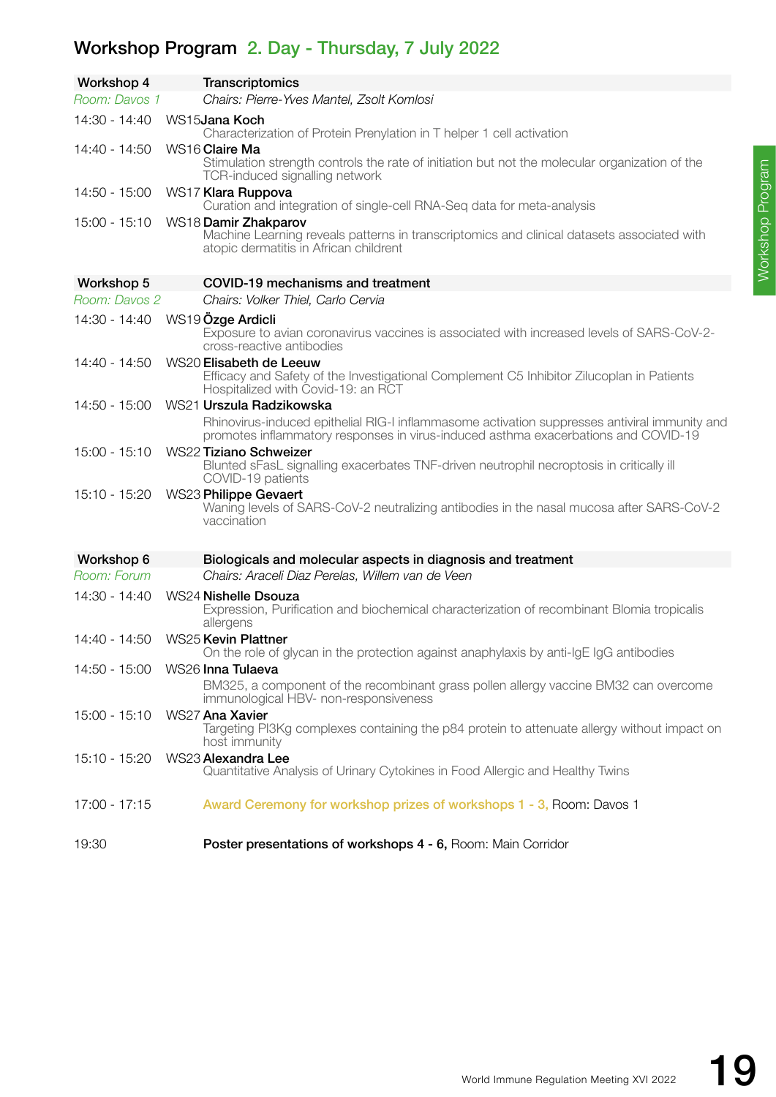## Workshop Program 2. Day - Thursday, 7 July 2022

| Workshop 4                      | <b>Transcriptomics</b>                                                                                                                                                                                          |
|---------------------------------|-----------------------------------------------------------------------------------------------------------------------------------------------------------------------------------------------------------------|
| Room: Davos 1                   | Chairs: Pierre-Yves Mantel, Zsolt Komlosi                                                                                                                                                                       |
| 14:30 - 14:40                   | WS15 <b>Jana Koch</b><br>Characterization of Protein Prenylation in T helper 1 cell activation                                                                                                                  |
| $14:40 - 14:50$                 | WS16 Claire Ma<br>Stimulation strength controls the rate of initiation but not the molecular organization of the<br>TCR-induced signalling network                                                              |
| 14:50 - 15:00                   | WS17 Klara Ruppova<br>Curation and integration of single-cell RNA-Seq data for meta-analysis                                                                                                                    |
| 15:00 - 15:10                   | WS18 Damir Zhakparov<br>Machine Learning reveals patterns in transcriptomics and clinical datasets associated with<br>atopic dermatitis in African childrent                                                    |
| Workshop 5                      | COVID-19 mechanisms and treatment                                                                                                                                                                               |
| Room: Davos 2                   | Chairs: Volker Thiel, Carlo Cervia                                                                                                                                                                              |
| 14:30 - 14:40                   | WS19 Özge Ardicli<br>Exposure to avian coronavirus vaccines is associated with increased levels of SARS-CoV-2-<br>cross-reactive antibodies                                                                     |
| $14:40 - 14:50$                 | WS20 Elisabeth de Leeuw<br>Efficacy and Safety of the Investigational Complement C5 Inhibitor Zilucoplan in Patients<br>Hospitalized with Covid-19: an RCT                                                      |
| 14:50 - 15:00                   | WS21 Urszula Radzikowska<br>Rhinovirus-induced epithelial RIG-I inflammasome activation suppresses antiviral immunity and<br>promotes inflammatory responses in virus-induced asthma exacerbations and COVID-19 |
| $15:00 - 15:10$                 | <b>WS22 Tiziano Schweizer</b><br>Blunted sFasL signalling exacerbates TNF-driven neutrophil necroptosis in critically ill<br>COVID-19 patients                                                                  |
| 15:10 - 15:20                   | WS23 Philippe Gevaert<br>Waning levels of SARS-CoV-2 neutralizing antibodies in the nasal mucosa after SARS-CoV-2<br>vaccination                                                                                |
| Workshop 6                      | Biologicals and molecular aspects in diagnosis and treatment                                                                                                                                                    |
| Room: Forum                     | Chairs: Araceli Diaz Perelas, Willem van de Veen                                                                                                                                                                |
| 14:30 - 14:40                   | WS24 Nishelle Dsouza<br>Expression, Purification and biochemical characterization of recombinant Blomia tropicalis<br>allergens                                                                                 |
| 14:40 - 14:50                   | <b>WS25 Kevin Plattner</b><br>On the role of glycan in the protection against anaphylaxis by anti-IgE IgG antibodies                                                                                            |
| 14:50 - 15:00 WS26 Inna Tulaeva | BM325, a component of the recombinant grass pollen allergy vaccine BM32 can overcome<br>immunological HBV- non-responsiveness                                                                                   |
| $15:00 - 15:10$                 | WS27 Ana Xavier<br>Targeting PI3Kg complexes containing the p84 protein to attenuate allergy without impact on<br>host immunity                                                                                 |
| 15:10 - 15:20                   | WS23 Alexandra Lee<br>Quantitative Analysis of Urinary Cytokines in Food Allergic and Healthy Twins                                                                                                             |
| $17:00 - 17:15$                 | Award Ceremony for workshop prizes of workshops 1 - 3, Room: Davos 1                                                                                                                                            |
| 19:30                           | Poster presentations of workshops 4 - 6, Room: Main Corridor                                                                                                                                                    |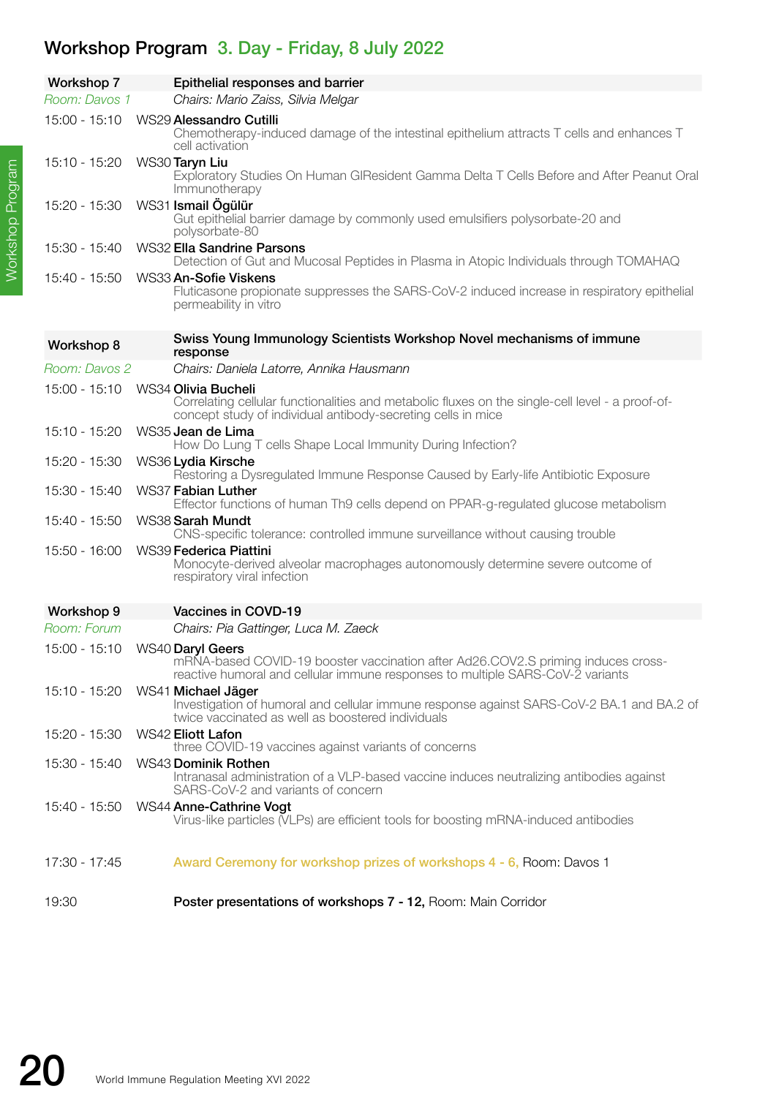## Workshop Program 3. Day - Friday, 8 July 2022

| <b>Workshop 7</b> | Epithelial responses and barrier                                                                                                                                                        |
|-------------------|-----------------------------------------------------------------------------------------------------------------------------------------------------------------------------------------|
| Room: Davos 1     | Chairs: Mario Zaiss, Silvia Melgar                                                                                                                                                      |
| $15:00 - 15:10$   | WS29 Alessandro Cutilli<br>Chemotherapy-induced damage of the intestinal epithelium attracts T cells and enhances T<br>cell activation                                                  |
| 15:10 - 15:20     | WS30 Taryn Liu<br>Exploratory Studies On Human GIResident Gamma Delta T Cells Before and After Peanut Oral<br>Immunotherapy                                                             |
| 15:20 - 15:30     | WS31 Ismail Ögülür<br>Gut epithelial barrier damage by commonly used emulsifiers polysorbate-20 and<br>polysorbate-80                                                                   |
| 15:30 - 15:40     | <b>WS32 Ella Sandrine Parsons</b><br>Detection of Gut and Mucosal Peptides in Plasma in Atopic Individuals through TOMAHAQ                                                              |
| 15:40 - 15:50     | WS33 An-Sofie Viskens<br>Fluticasone propionate suppresses the SARS-CoV-2 induced increase in respiratory epithelial<br>permeability in vitro                                           |
| Workshop 8        | Swiss Young Immunology Scientists Workshop Novel mechanisms of immune<br>response                                                                                                       |
| Room: Davos 2     | Chairs: Daniela Latorre, Annika Hausmann                                                                                                                                                |
| $15:00 - 15:10$   | WS34 Olivia Bucheli<br>Correlating cellular functionalities and metabolic fluxes on the single-cell level - a proof-of-<br>concept study of individual antibody-secreting cells in mice |
| 15:10 - 15:20     | WS35 Jean de Lima<br>How Do Lung T cells Shape Local Immunity During Infection?                                                                                                         |
| 15:20 - 15:30     | WS36 Lydia Kirsche<br>Restoring a Dysregulated Immune Response Caused by Early-life Antibiotic Exposure                                                                                 |
| 15:30 - 15:40     | <b>WS37 Fabian Luther</b><br>Effector functions of human Th9 cells depend on PPAR-g-regulated glucose metabolism                                                                        |
| 15:40 - 15:50     | WS38 Sarah Mundt<br>CNS-specific tolerance: controlled immune surveillance without causing trouble                                                                                      |
| 15:50 - 16:00     | WS39 Federica Piattini<br>Monocyte-derived alveolar macrophages autonomously determine severe outcome of<br>respiratory viral infection                                                 |
| Workshop 9        | Vaccines in COVD-19                                                                                                                                                                     |
| Room: Forum       | Chairs: Pia Gattinger, Luca M. Zaeck                                                                                                                                                    |
| 15:00 - 15:10     | WS40 Daryl Geers<br>mRNA-based COVID-19 booster vaccination after Ad26.COV2.S priming induces cross-<br>reactive humoral and cellular immune responses to multiple SARS-CoV-2 variants  |
| 15:10 - 15:20     | WS41 Michael Jäger<br>Investigation of humoral and cellular immune response against SARS-CoV-2 BA.1 and BA.2 of<br>twice vaccinated as well as boostered individuals                    |
| $15:20 - 15:30$   | <b>WS42 Eliott Lafon</b><br>three COVID-19 vaccines against variants of concerns                                                                                                        |
| 15:30 - 15:40     | WS43 Dominik Rothen<br>Intranasal administration of a VLP-based vaccine induces neutralizing antibodies against<br>SARS-CoV-2 and variants of concern                                   |
| 15:40 - 15:50     | WS44 Anne-Cathrine Vogt<br>Virus-like particles (VLPs) are efficient tools for boosting mRNA-induced antibodies                                                                         |
| 17:30 - 17:45     | Award Ceremony for workshop prizes of workshops 4 - 6, Room: Davos 1                                                                                                                    |
| 19:30             | Poster presentations of workshops 7 - 12, Room: Main Corridor                                                                                                                           |